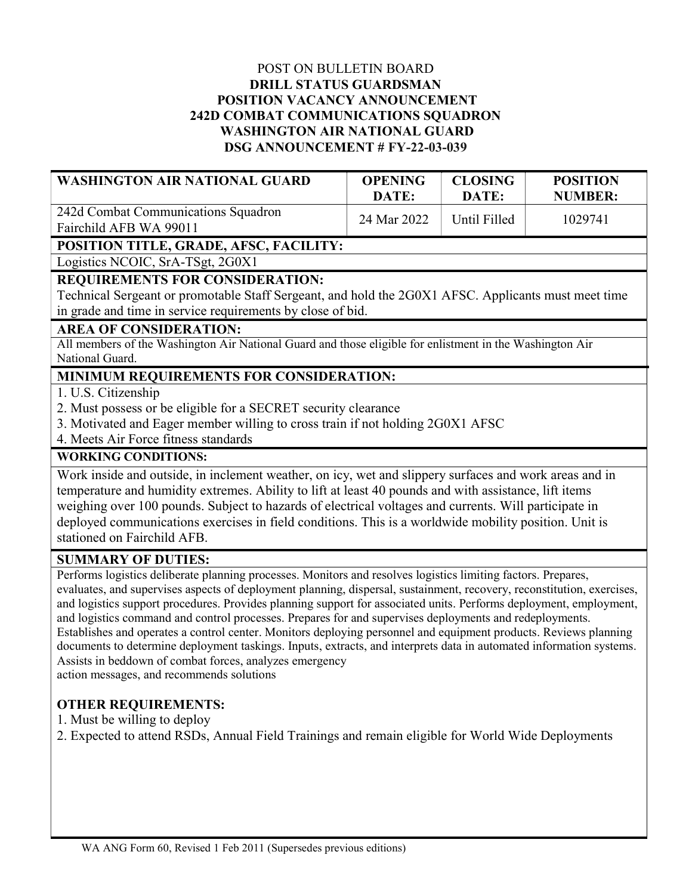### POST ON BULLETIN BOARD DRILL STATUS GUARDSMAN POSITION VACANCY ANNOUNCEMENT 242D COMBAT COMMUNICATIONS SQUADRON WASHINGTON AIR NATIONAL GUARD DSG ANNOUNCEMENT # FY-22-03-039

| <b>WASHINGTON AIR NATIONAL GUARD</b>                                    | <b>OPENING</b><br>DATE: | <b>CLOSING</b><br>DATE: | <b>POSITION</b><br><b>NUMBER:</b> |
|-------------------------------------------------------------------------|-------------------------|-------------------------|-----------------------------------|
| 242d Combat Communications Squadron<br>Fairchild AFB WA 99011           | 24 Mar 2022             | Until Filled            | 1029741                           |
| <b>POSITION TITLE, GRADE, AFSC, FACILITY:</b>                           |                         |                         |                                   |
| Location $NCOIC$ $S_{\mu}$ $N_{\mu}$ $T_{\nu}$ $\rightarrow$ $2C_{\mu}$ |                         |                         |                                   |

Logistics NCOIC, SrA-TSgt, 2G0X1

### REQUIREMENTS FOR CONSIDERATION:

Technical Sergeant or promotable Staff Sergeant, and hold the 2G0X1 AFSC. Applicants must meet time in grade and time in service requirements by close of bid.

# AREA OF CONSIDERATION:

All members of the Washington Air National Guard and those eligible for enlistment in the Washington Air National Guard.

# MINIMUM REQUIREMENTS FOR CONSIDERATION:

1. U.S. Citizenship

- 2. Must possess or be eligible for a SECRET security clearance
- 3. Motivated and Eager member willing to cross train if not holding 2G0X1 AFSC
- 4. Meets Air Force fitness standards

## WORKING CONDITIONS:

Work inside and outside, in inclement weather, on icy, wet and slippery surfaces and work areas and in temperature and humidity extremes. Ability to lift at least 40 pounds and with assistance, lift items weighing over 100 pounds. Subject to hazards of electrical voltages and currents. Will participate in deployed communications exercises in field conditions. This is a worldwide mobility position. Unit is stationed on Fairchild AFB.

### SUMMARY OF DUTIES:

Performs logistics deliberate planning processes. Monitors and resolves logistics limiting factors. Prepares, evaluates, and supervises aspects of deployment planning, dispersal, sustainment, recovery, reconstitution, exercises, and logistics support procedures. Provides planning support for associated units. Performs deployment, employment, and logistics command and control processes. Prepares for and supervises deployments and redeployments. Establishes and operates a control center. Monitors deploying personnel and equipment products. Reviews planning documents to determine deployment taskings. Inputs, extracts, and interprets data in automated information systems. Assists in beddown of combat forces, analyzes emergency

action messages, and recommends solutions

### OTHER REQUIREMENTS:

- 1. Must be willing to deploy
- 2. Expected to attend RSDs, Annual Field Trainings and remain eligible for World Wide Deployments